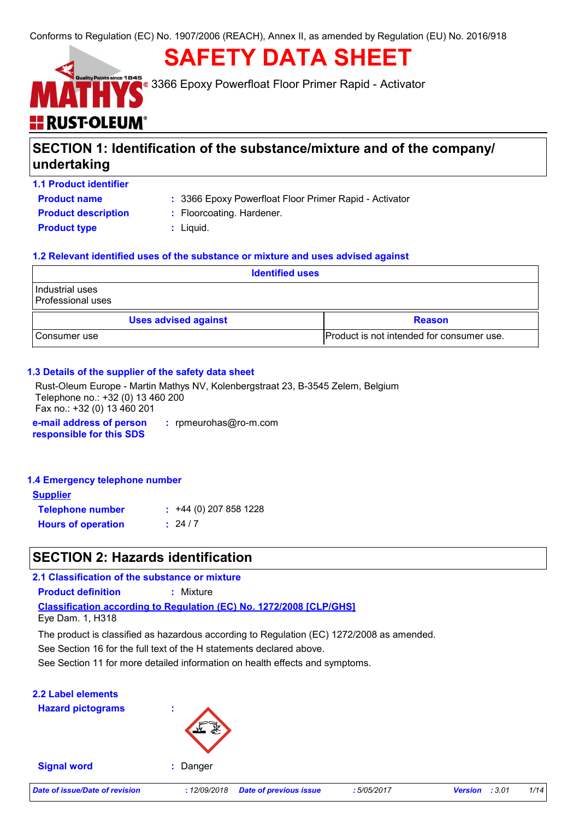## **SAFETY DATA SHEET**

3366 Epoxy Powerfloat Floor Primer Rapid - Activator

# **E RUST-OLEUM**

### **SECTION 1: Identification of the substance/mixture and of the company/ undertaking**

**1.1 Product identifier**

**Product name**

3366 Epoxy Powerfloat Floor Primer Rapid - Activator **:**

**Product description : Floorcoating. Hardener.** 

- 
- **Product type**  $\qquad$ **:** Liquid.
	-

### **1.2 Relevant identified uses of the substance or mixture and uses advised against**

| <b>Identified uses</b>                       |                                           |  |  |  |
|----------------------------------------------|-------------------------------------------|--|--|--|
| Industrial uses<br>Professional uses         |                                           |  |  |  |
| <b>Uses advised against</b><br><b>Reason</b> |                                           |  |  |  |
| I Consumer use                               | Product is not intended for consumer use. |  |  |  |

### **1.3 Details of the supplier of the safety data sheet**

**e-mail address of person responsible for this SDS :** rpmeurohas@ro-m.com Rust-Oleum Europe - Martin Mathys NV, Kolenbergstraat 23, B-3545 Zelem, Belgium Telephone no.: +32 (0) 13 460 200 Fax no.: +32 (0) 13 460 201

### **1.4 Emergency telephone number**

| <b>Supplier</b>           |                         |
|---------------------------|-------------------------|
| <b>Telephone number</b>   | $: +44(0)$ 207 858 1228 |
| <b>Hours of operation</b> | : 24/7                  |

### **SECTION 2: Hazards identification**

**Classification according to Regulation (EC) No. 1272/2008 [CLP/GHS] 2.1 Classification of the substance or mixture Product definition :** Mixture Eye Dam. 1, H318

The product is classified as hazardous according to Regulation (EC) 1272/2008 as amended.

See Section 16 for the full text of the H statements declared above.

See Section 11 for more detailed information on health effects and symptoms.

### **2.2 Label elements**

**Hazard pictograms :**



**Signal word :** Danger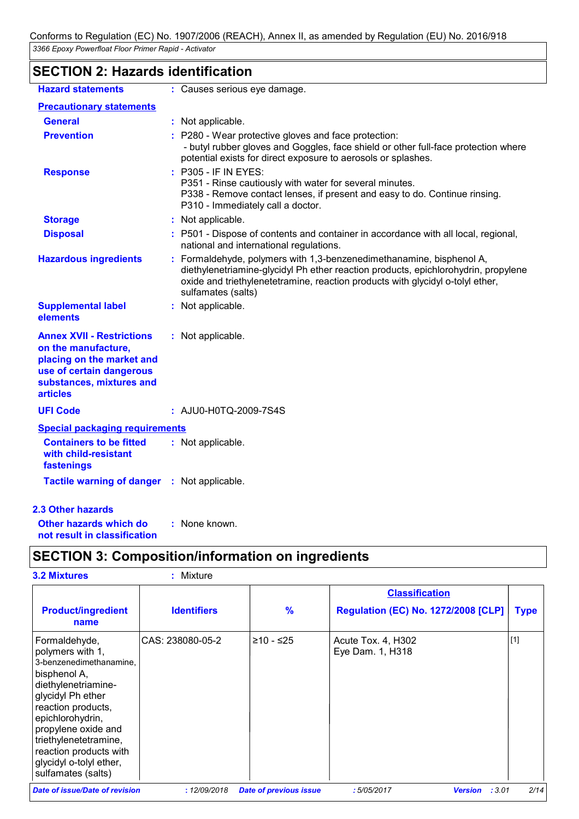### **SECTION 2: Hazards identification**

| <b>Hazard statements</b>                                                                                                                                        | : Causes serious eye damage.                                                                                                                                                                                                                                       |  |
|-----------------------------------------------------------------------------------------------------------------------------------------------------------------|--------------------------------------------------------------------------------------------------------------------------------------------------------------------------------------------------------------------------------------------------------------------|--|
| <b>Precautionary statements</b>                                                                                                                                 |                                                                                                                                                                                                                                                                    |  |
| <b>General</b>                                                                                                                                                  | : Not applicable.                                                                                                                                                                                                                                                  |  |
| <b>Prevention</b>                                                                                                                                               | : P280 - Wear protective gloves and face protection:<br>- butyl rubber gloves and Goggles, face shield or other full-face protection where<br>potential exists for direct exposure to aerosols or splashes.                                                        |  |
| <b>Response</b>                                                                                                                                                 | : P305 - IF IN EYES:<br>P351 - Rinse cautiously with water for several minutes.<br>P338 - Remove contact lenses, if present and easy to do. Continue rinsing.<br>P310 - Immediately call a doctor.                                                                 |  |
| <b>Storage</b>                                                                                                                                                  | : Not applicable.                                                                                                                                                                                                                                                  |  |
| <b>Disposal</b>                                                                                                                                                 | : P501 - Dispose of contents and container in accordance with all local, regional,<br>national and international regulations.                                                                                                                                      |  |
| <b>Hazardous ingredients</b>                                                                                                                                    | : Formaldehyde, polymers with 1,3-benzenedimethanamine, bisphenol A,<br>diethylenetriamine-glycidyl Ph ether reaction products, epichlorohydrin, propylene<br>oxide and triethylenetetramine, reaction products with glycidyl o-tolyl ether,<br>sulfamates (salts) |  |
| <b>Supplemental label</b><br>elements                                                                                                                           | : Not applicable.                                                                                                                                                                                                                                                  |  |
| <b>Annex XVII - Restrictions</b><br>on the manufacture,<br>placing on the market and<br>use of certain dangerous<br>substances, mixtures and<br><b>articles</b> | : Not applicable.                                                                                                                                                                                                                                                  |  |
| <b>UFI Code</b>                                                                                                                                                 | : AJU0-H0TQ-2009-7S4S                                                                                                                                                                                                                                              |  |
| <b>Special packaging requirements</b>                                                                                                                           |                                                                                                                                                                                                                                                                    |  |
| <b>Containers to be fitted</b><br>with child-resistant<br>fastenings                                                                                            | : Not applicable.                                                                                                                                                                                                                                                  |  |
| <b>Tactile warning of danger</b>                                                                                                                                | : Not applicable.                                                                                                                                                                                                                                                  |  |
| <b>2.3 Other hazards</b>                                                                                                                                        |                                                                                                                                                                                                                                                                    |  |

**Other hazards which do : not result in classification** : None known.

### **SECTION 3: Composition/information on ingredients**

| <b>3.2 Mixtures</b>                                                                                                                                                                                                                                                                           | Mixture            |                               |                                                                     |             |
|-----------------------------------------------------------------------------------------------------------------------------------------------------------------------------------------------------------------------------------------------------------------------------------------------|--------------------|-------------------------------|---------------------------------------------------------------------|-------------|
| <b>Product/ingredient</b>                                                                                                                                                                                                                                                                     | <b>Identifiers</b> | $\frac{9}{6}$                 | <b>Classification</b><br><b>Regulation (EC) No. 1272/2008 [CLP]</b> | <b>Type</b> |
| name                                                                                                                                                                                                                                                                                          |                    |                               |                                                                     |             |
| Formaldehyde,<br>polymers with 1,<br>3-benzenedimethanamine,<br>bisphenol A,<br>diethylenetriamine-<br>glycidyl Ph ether<br>reaction products,<br>epichlorohydrin,<br>propylene oxide and<br>triethylenetetramine,<br>reaction products with<br>glycidyl o-tolyl ether,<br>sulfamates (salts) | CAS: 238080-05-2   | ≥10 - ≤25                     | Acute Tox. 4, H302<br>Eye Dam. 1, H318                              | $[1]$       |
| Date of issue/Date of revision                                                                                                                                                                                                                                                                | : 12/09/2018       | <b>Date of previous issue</b> | :5/05/2017<br>: 3.01<br><b>Version</b>                              | 2/14        |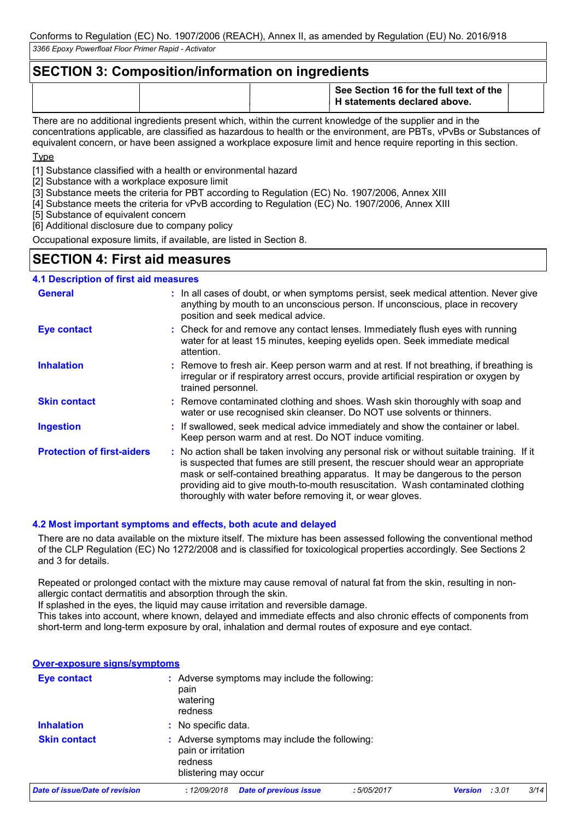### **SECTION 3: Composition/information on ingredients**

|  | See Section 16 for the full text of the<br><sup>1</sup> H statements declared above. |  |
|--|--------------------------------------------------------------------------------------|--|
|  |                                                                                      |  |

There are no additional ingredients present which, within the current knowledge of the supplier and in the concentrations applicable, are classified as hazardous to health or the environment, are PBTs, vPvBs or Substances of equivalent concern, or have been assigned a workplace exposure limit and hence require reporting in this section.

**Type** 

[1] Substance classified with a health or environmental hazard

[2] Substance with a workplace exposure limit

[3] Substance meets the criteria for PBT according to Regulation (EC) No. 1907/2006, Annex XIII

[4] Substance meets the criteria for vPvB according to Regulation (EC) No. 1907/2006, Annex XIII

[5] Substance of equivalent concern

[6] Additional disclosure due to company policy

Occupational exposure limits, if available, are listed in Section 8.

### **SECTION 4: First aid measures**

#### **4.1 Description of first aid measures**

| <b>General</b>                    | : In all cases of doubt, or when symptoms persist, seek medical attention. Never give<br>anything by mouth to an unconscious person. If unconscious, place in recovery<br>position and seek medical advice.                                                                                                                                                                                                     |
|-----------------------------------|-----------------------------------------------------------------------------------------------------------------------------------------------------------------------------------------------------------------------------------------------------------------------------------------------------------------------------------------------------------------------------------------------------------------|
| <b>Eye contact</b>                | : Check for and remove any contact lenses. Immediately flush eyes with running<br>water for at least 15 minutes, keeping eyelids open. Seek immediate medical<br>attention.                                                                                                                                                                                                                                     |
| <b>Inhalation</b>                 | : Remove to fresh air. Keep person warm and at rest. If not breathing, if breathing is<br>irregular or if respiratory arrest occurs, provide artificial respiration or oxygen by<br>trained personnel.                                                                                                                                                                                                          |
| <b>Skin contact</b>               | : Remove contaminated clothing and shoes. Wash skin thoroughly with soap and<br>water or use recognised skin cleanser. Do NOT use solvents or thinners.                                                                                                                                                                                                                                                         |
| <b>Ingestion</b>                  | : If swallowed, seek medical advice immediately and show the container or label.<br>Keep person warm and at rest. Do NOT induce vomiting.                                                                                                                                                                                                                                                                       |
| <b>Protection of first-aiders</b> | : No action shall be taken involving any personal risk or without suitable training. If it<br>is suspected that fumes are still present, the rescuer should wear an appropriate<br>mask or self-contained breathing apparatus. It may be dangerous to the person<br>providing aid to give mouth-to-mouth resuscitation. Wash contaminated clothing<br>thoroughly with water before removing it, or wear gloves. |

#### **4.2 Most important symptoms and effects, both acute and delayed**

There are no data available on the mixture itself. The mixture has been assessed following the conventional method of the CLP Regulation (EC) No 1272/2008 and is classified for toxicological properties accordingly. See Sections 2 and 3 for details.

Repeated or prolonged contact with the mixture may cause removal of natural fat from the skin, resulting in nonallergic contact dermatitis and absorption through the skin.

If splashed in the eyes, the liquid may cause irritation and reversible damage.

This takes into account, where known, delayed and immediate effects and also chronic effects of components from short-term and long-term exposure by oral, inhalation and dermal routes of exposure and eye contact.

|  | <b>Over-exposure signs/symptoms</b> |  |
|--|-------------------------------------|--|
|  |                                     |  |

| <b>Eye contact</b>             | : Adverse symptoms may include the following:<br>pain<br>watering<br>redness                           |            |                          |      |
|--------------------------------|--------------------------------------------------------------------------------------------------------|------------|--------------------------|------|
| <b>Inhalation</b>              | : No specific data.                                                                                    |            |                          |      |
| <b>Skin contact</b>            | : Adverse symptoms may include the following:<br>pain or irritation<br>redness<br>blistering may occur |            |                          |      |
| Date of issue/Date of revision | <b>Date of previous issue</b><br>:12/09/2018                                                           | :5/05/2017 | : 3.01<br><b>Version</b> | 3/14 |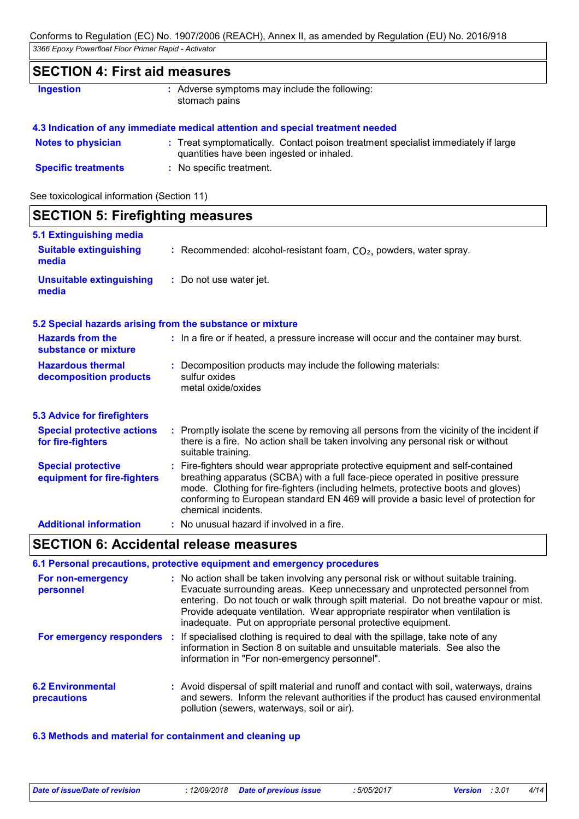### **SECTION 4: First aid measures**

| <b>Ingestion</b> | : Adverse symptoms may include the following: |
|------------------|-----------------------------------------------|
|                  | stomach pains                                 |

|  | 4.3 Indication of any immediate medical attention and special treatment needed |  |  |  |  |  |  |  |  |
|--|--------------------------------------------------------------------------------|--|--|--|--|--|--|--|--|
|  |                                                                                |  |  |  |  |  |  |  |  |

| <b>Notes to physician</b>  | : Treat symptomatically. Contact poison treatment specialist immediately if large |
|----------------------------|-----------------------------------------------------------------------------------|
|                            | quantities have been ingested or inhaled.                                         |
| <b>Specific treatments</b> | No specific treatment.                                                            |

See toxicological information (Section 11)

| <b>SECTION 5: Firefighting measures</b>                  |                                                                                                                                                                                                                                                                                                                                                                       |
|----------------------------------------------------------|-----------------------------------------------------------------------------------------------------------------------------------------------------------------------------------------------------------------------------------------------------------------------------------------------------------------------------------------------------------------------|
| 5.1 Extinguishing media                                  |                                                                                                                                                                                                                                                                                                                                                                       |
| <b>Suitable extinguishing</b><br>media                   | : Recommended: alcohol-resistant foam, $CO2$ , powders, water spray.                                                                                                                                                                                                                                                                                                  |
| <b>Unsuitable extinguishing</b><br>media                 | : Do not use water jet.                                                                                                                                                                                                                                                                                                                                               |
|                                                          | 5.2 Special hazards arising from the substance or mixture                                                                                                                                                                                                                                                                                                             |
| <b>Hazards from the</b><br>substance or mixture          | : In a fire or if heated, a pressure increase will occur and the container may burst.                                                                                                                                                                                                                                                                                 |
| <b>Hazardous thermal</b><br>decomposition products       | : Decomposition products may include the following materials:<br>sulfur oxides<br>metal oxide/oxides                                                                                                                                                                                                                                                                  |
| <b>5.3 Advice for firefighters</b>                       |                                                                                                                                                                                                                                                                                                                                                                       |
| <b>Special protective actions</b><br>for fire-fighters   | : Promptly isolate the scene by removing all persons from the vicinity of the incident if<br>there is a fire. No action shall be taken involving any personal risk or without<br>suitable training.                                                                                                                                                                   |
| <b>Special protective</b><br>equipment for fire-fighters | : Fire-fighters should wear appropriate protective equipment and self-contained<br>breathing apparatus (SCBA) with a full face-piece operated in positive pressure<br>mode. Clothing for fire-fighters (including helmets, protective boots and gloves)<br>conforming to European standard EN 469 will provide a basic level of protection for<br>chemical incidents. |
| <b>Additional information</b>                            | : No unusual hazard if involved in a fire.                                                                                                                                                                                                                                                                                                                            |

### **SECTION 6: Accidental release measures**

#### No action shall be taken involving any personal risk or without suitable training. **:** Evacuate surrounding areas. Keep unnecessary and unprotected personnel from entering. Do not touch or walk through spilt material. Do not breathe vapour or mist. Provide adequate ventilation. Wear appropriate respirator when ventilation is inadequate. Put on appropriate personal protective equipment. **6.2 Environmental precautions 6.1 Personal precautions, protective equipment and emergency procedures For non-emergency personnel For emergency responders** : If specialised clothing is required to deal with the spillage, take note of any information in Section 8 on suitable and unsuitable materials. See also the information in "For non-emergency personnel". **:** Avoid dispersal of spilt material and runoff and contact with soil, waterways, drains and sewers. Inform the relevant authorities if the product has caused environmental pollution (sewers, waterways, soil or air).

**6.3 Methods and material for containment and cleaning up**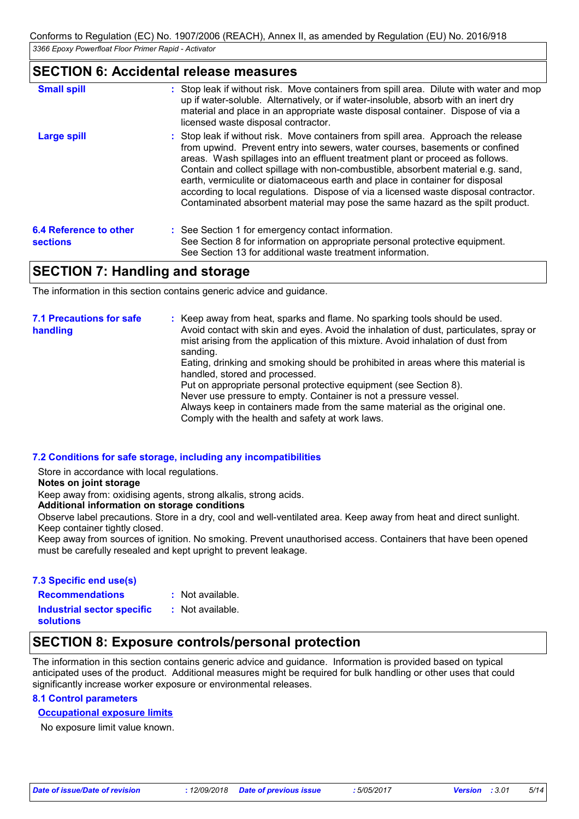### **SECTION 6: Accidental release measures**

| <b>Small spill</b>                 | : Stop leak if without risk. Move containers from spill area. Dilute with water and mop<br>up if water-soluble. Alternatively, or if water-insoluble, absorb with an inert dry<br>material and place in an appropriate waste disposal container. Dispose of via a<br>licensed waste disposal contractor.                                                                                                                                                                                                                                                                                          |
|------------------------------------|---------------------------------------------------------------------------------------------------------------------------------------------------------------------------------------------------------------------------------------------------------------------------------------------------------------------------------------------------------------------------------------------------------------------------------------------------------------------------------------------------------------------------------------------------------------------------------------------------|
| <b>Large spill</b>                 | : Stop leak if without risk. Move containers from spill area. Approach the release<br>from upwind. Prevent entry into sewers, water courses, basements or confined<br>areas. Wash spillages into an effluent treatment plant or proceed as follows.<br>Contain and collect spillage with non-combustible, absorbent material e.g. sand,<br>earth, vermiculite or diatomaceous earth and place in container for disposal<br>according to local regulations. Dispose of via a licensed waste disposal contractor.<br>Contaminated absorbent material may pose the same hazard as the spilt product. |
| 6.4 Reference to other<br>sections | : See Section 1 for emergency contact information.<br>See Section 8 for information on appropriate personal protective equipment.<br>See Section 13 for additional waste treatment information.                                                                                                                                                                                                                                                                                                                                                                                                   |

### **SECTION 7: Handling and storage**

The information in this section contains generic advice and guidance.

| <b>7.1 Precautions for safe</b><br>handling | : Keep away from heat, sparks and flame. No sparking tools should be used.<br>Avoid contact with skin and eyes. Avoid the inhalation of dust, particulates, spray or<br>mist arising from the application of this mixture. Avoid inhalation of dust from<br>sanding.<br>Eating, drinking and smoking should be prohibited in areas where this material is<br>handled, stored and processed.<br>Put on appropriate personal protective equipment (see Section 8).<br>Never use pressure to empty. Container is not a pressure vessel.<br>Always keep in containers made from the same material as the original one.<br>Comply with the health and safety at work laws. |
|---------------------------------------------|-----------------------------------------------------------------------------------------------------------------------------------------------------------------------------------------------------------------------------------------------------------------------------------------------------------------------------------------------------------------------------------------------------------------------------------------------------------------------------------------------------------------------------------------------------------------------------------------------------------------------------------------------------------------------|
|---------------------------------------------|-----------------------------------------------------------------------------------------------------------------------------------------------------------------------------------------------------------------------------------------------------------------------------------------------------------------------------------------------------------------------------------------------------------------------------------------------------------------------------------------------------------------------------------------------------------------------------------------------------------------------------------------------------------------------|

#### **7.2 Conditions for safe storage, including any incompatibilities**

Store in accordance with local regulations.

#### **Notes on joint storage**

Keep away from: oxidising agents, strong alkalis, strong acids.

**Additional information on storage conditions**

Observe label precautions. Store in a dry, cool and well-ventilated area. Keep away from heat and direct sunlight. Keep container tightly closed.

Keep away from sources of ignition. No smoking. Prevent unauthorised access. Containers that have been opened must be carefully resealed and kept upright to prevent leakage.

#### **7.3 Specific end use(s)**

**Recommendations :**

- : Not available.
- **Industrial sector specific : solutions**
- : Not available.

## **SECTION 8: Exposure controls/personal protection**

The information in this section contains generic advice and guidance. Information is provided based on typical anticipated uses of the product. Additional measures might be required for bulk handling or other uses that could significantly increase worker exposure or environmental releases.

### **8.1 Control parameters**

### **Occupational exposure limits**

No exposure limit value known.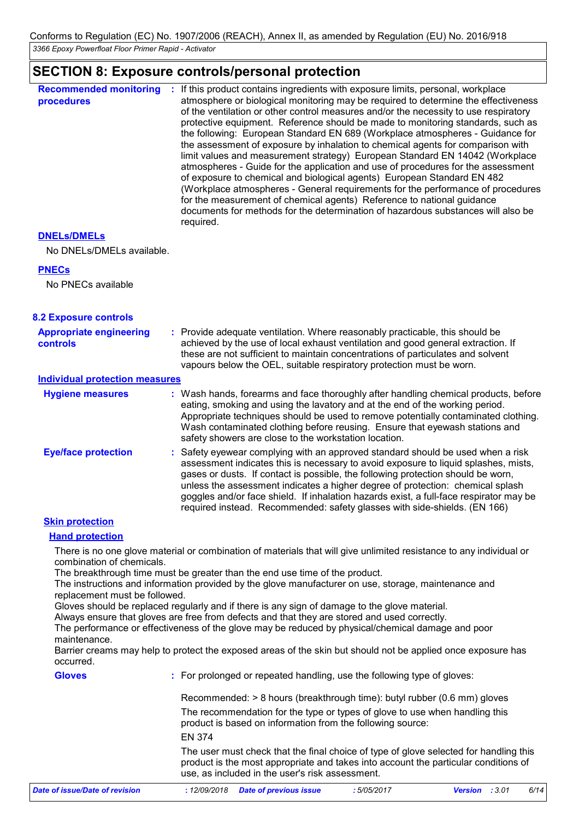### **SECTION 8: Exposure controls/personal protection**

|                                                   | <u>000 Honda C. Exposure contrologiconum pretectioni</u>                                                                                                                                                                                                                                                                                                                                                                                                                                                                                                                                                                                                                                                                                                                                                                                                                                                                                                                                                                           |
|---------------------------------------------------|------------------------------------------------------------------------------------------------------------------------------------------------------------------------------------------------------------------------------------------------------------------------------------------------------------------------------------------------------------------------------------------------------------------------------------------------------------------------------------------------------------------------------------------------------------------------------------------------------------------------------------------------------------------------------------------------------------------------------------------------------------------------------------------------------------------------------------------------------------------------------------------------------------------------------------------------------------------------------------------------------------------------------------|
| <b>Recommended monitoring</b><br>procedures       | : If this product contains ingredients with exposure limits, personal, workplace<br>atmosphere or biological monitoring may be required to determine the effectiveness<br>of the ventilation or other control measures and/or the necessity to use respiratory<br>protective equipment. Reference should be made to monitoring standards, such as<br>the following: European Standard EN 689 (Workplace atmospheres - Guidance for<br>the assessment of exposure by inhalation to chemical agents for comparison with<br>limit values and measurement strategy) European Standard EN 14042 (Workplace<br>atmospheres - Guide for the application and use of procedures for the assessment<br>of exposure to chemical and biological agents) European Standard EN 482<br>(Workplace atmospheres - General requirements for the performance of procedures<br>for the measurement of chemical agents) Reference to national guidance<br>documents for methods for the determination of hazardous substances will also be<br>required. |
| <b>DNELS/DMELS</b>                                |                                                                                                                                                                                                                                                                                                                                                                                                                                                                                                                                                                                                                                                                                                                                                                                                                                                                                                                                                                                                                                    |
| No DNELs/DMELs available.                         |                                                                                                                                                                                                                                                                                                                                                                                                                                                                                                                                                                                                                                                                                                                                                                                                                                                                                                                                                                                                                                    |
| <b>PNECs</b>                                      |                                                                                                                                                                                                                                                                                                                                                                                                                                                                                                                                                                                                                                                                                                                                                                                                                                                                                                                                                                                                                                    |
| No PNECs available                                |                                                                                                                                                                                                                                                                                                                                                                                                                                                                                                                                                                                                                                                                                                                                                                                                                                                                                                                                                                                                                                    |
| <b>8.2 Exposure controls</b>                      |                                                                                                                                                                                                                                                                                                                                                                                                                                                                                                                                                                                                                                                                                                                                                                                                                                                                                                                                                                                                                                    |
| <b>Appropriate engineering</b><br><b>controls</b> | : Provide adequate ventilation. Where reasonably practicable, this should be<br>achieved by the use of local exhaust ventilation and good general extraction. If<br>these are not sufficient to maintain concentrations of particulates and solvent<br>vapours below the OEL, suitable respiratory protection must be worn.                                                                                                                                                                                                                                                                                                                                                                                                                                                                                                                                                                                                                                                                                                        |
| <b>Individual protection measures</b>             |                                                                                                                                                                                                                                                                                                                                                                                                                                                                                                                                                                                                                                                                                                                                                                                                                                                                                                                                                                                                                                    |
| <b>Hygiene measures</b>                           | : Wash hands, forearms and face thoroughly after handling chemical products, before<br>eating, smoking and using the lavatory and at the end of the working period.<br>Appropriate techniques should be used to remove potentially contaminated clothing.<br>Wash contaminated clothing before reusing. Ensure that eyewash stations and<br>safety showers are close to the workstation location.                                                                                                                                                                                                                                                                                                                                                                                                                                                                                                                                                                                                                                  |
| <b>Eye/face protection</b>                        | Safety eyewear complying with an approved standard should be used when a risk<br>assessment indicates this is necessary to avoid exposure to liquid splashes, mists,<br>gases or dusts. If contact is possible, the following protection should be worn,<br>unless the assessment indicates a higher degree of protection: chemical splash<br>goggles and/or face shield. If inhalation hazards exist, a full-face respirator may be<br>required instead. Recommended: safety glasses with side-shields. (EN 166)                                                                                                                                                                                                                                                                                                                                                                                                                                                                                                                  |
| <b>Skin protection</b>                            |                                                                                                                                                                                                                                                                                                                                                                                                                                                                                                                                                                                                                                                                                                                                                                                                                                                                                                                                                                                                                                    |
| <b>Hand protection</b>                            |                                                                                                                                                                                                                                                                                                                                                                                                                                                                                                                                                                                                                                                                                                                                                                                                                                                                                                                                                                                                                                    |
| combination of chemicals.                         | There is no one glove material or combination of materials that will give unlimited resistance to any individual or<br>The breakthrough time must be greater than the end use time of the product.<br>The instructions and information provided by the glove manufacturer on use, storage, maintenance and                                                                                                                                                                                                                                                                                                                                                                                                                                                                                                                                                                                                                                                                                                                         |
| replacement must be followed.                     | Gloves should be replaced regularly and if there is any sign of damage to the glove material.<br>Always ensure that gloves are free from defects and that they are stored and used correctly.                                                                                                                                                                                                                                                                                                                                                                                                                                                                                                                                                                                                                                                                                                                                                                                                                                      |
| maintenance.                                      | The performance or effectiveness of the glove may be reduced by physical/chemical damage and poor                                                                                                                                                                                                                                                                                                                                                                                                                                                                                                                                                                                                                                                                                                                                                                                                                                                                                                                                  |
| occurred.                                         | Barrier creams may help to protect the exposed areas of the skin but should not be applied once exposure has                                                                                                                                                                                                                                                                                                                                                                                                                                                                                                                                                                                                                                                                                                                                                                                                                                                                                                                       |
| <b>Gloves</b>                                     | : For prolonged or repeated handling, use the following type of gloves:                                                                                                                                                                                                                                                                                                                                                                                                                                                                                                                                                                                                                                                                                                                                                                                                                                                                                                                                                            |
|                                                   | Recommended: > 8 hours (breakthrough time): butyl rubber (0.6 mm) gloves                                                                                                                                                                                                                                                                                                                                                                                                                                                                                                                                                                                                                                                                                                                                                                                                                                                                                                                                                           |
|                                                   | The recommendation for the type or types of glove to use when handling this<br>product is based on information from the following source:                                                                                                                                                                                                                                                                                                                                                                                                                                                                                                                                                                                                                                                                                                                                                                                                                                                                                          |

EN 374

The user must check that the final choice of type of glove selected for handling this product is the most appropriate and takes into account the particular conditions of use, as included in the user's risk assessment.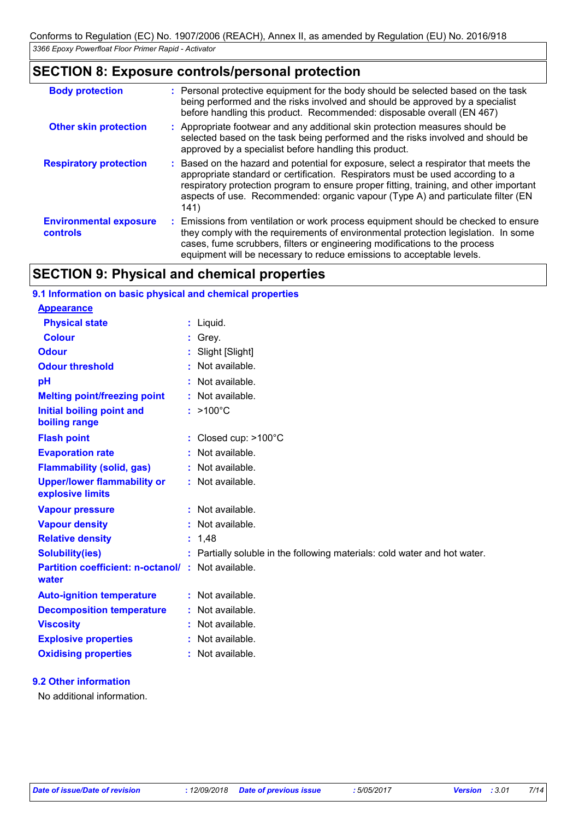### **SECTION 8: Exposure controls/personal protection**

| <b>Body protection</b>                           | : Personal protective equipment for the body should be selected based on the task<br>being performed and the risks involved and should be approved by a specialist<br>before handling this product. Recommended: disposable overall (EN 467)                                                                                                                |
|--------------------------------------------------|-------------------------------------------------------------------------------------------------------------------------------------------------------------------------------------------------------------------------------------------------------------------------------------------------------------------------------------------------------------|
| <b>Other skin protection</b>                     | : Appropriate footwear and any additional skin protection measures should be<br>selected based on the task being performed and the risks involved and should be<br>approved by a specialist before handling this product.                                                                                                                                   |
| <b>Respiratory protection</b>                    | : Based on the hazard and potential for exposure, select a respirator that meets the<br>appropriate standard or certification. Respirators must be used according to a<br>respiratory protection program to ensure proper fitting, training, and other important<br>aspects of use. Recommended: organic vapour (Type A) and particulate filter (EN<br>141) |
| <b>Environmental exposure</b><br><b>controls</b> | : Emissions from ventilation or work process equipment should be checked to ensure<br>they comply with the requirements of environmental protection legislation. In some<br>cases, fume scrubbers, filters or engineering modifications to the process<br>equipment will be necessary to reduce emissions to acceptable levels.                             |

### **SECTION 9: Physical and chemical properties**

| 9.1 Information on basic physical and chemical properties         |  |                                                                           |  |  |
|-------------------------------------------------------------------|--|---------------------------------------------------------------------------|--|--|
| <b>Appearance</b>                                                 |  |                                                                           |  |  |
| <b>Physical state</b>                                             |  | $:$ Liquid.                                                               |  |  |
| <b>Colour</b>                                                     |  | Grey.                                                                     |  |  |
| <b>Odour</b>                                                      |  | : Slight [Slight]                                                         |  |  |
| <b>Odour threshold</b>                                            |  | : Not available.                                                          |  |  |
| pH                                                                |  | $:$ Not available.                                                        |  |  |
| <b>Melting point/freezing point</b>                               |  | : Not available.                                                          |  |  |
| Initial boiling point and<br>boiling range                        |  | $:$ >100 $^{\circ}$ C                                                     |  |  |
| <b>Flash point</b>                                                |  | : Closed cup: >100°C                                                      |  |  |
| <b>Evaporation rate</b>                                           |  | : Not available.                                                          |  |  |
| <b>Flammability (solid, gas)</b>                                  |  | : Not available.                                                          |  |  |
| <b>Upper/lower flammability or</b><br>explosive limits            |  | : Not available.                                                          |  |  |
| <b>Vapour pressure</b>                                            |  | $:$ Not available.                                                        |  |  |
| <b>Vapour density</b>                                             |  | : Not available.                                                          |  |  |
| <b>Relative density</b>                                           |  | : 1.48                                                                    |  |  |
| <b>Solubility(ies)</b>                                            |  | : Partially soluble in the following materials: cold water and hot water. |  |  |
| <b>Partition coefficient: n-octanol/: Not available.</b><br>water |  |                                                                           |  |  |
| <b>Auto-ignition temperature</b>                                  |  | : Not available.                                                          |  |  |
| <b>Decomposition temperature</b>                                  |  | $:$ Not available.                                                        |  |  |
| <b>Viscosity</b>                                                  |  | : Not available.                                                          |  |  |
| <b>Explosive properties</b>                                       |  | : Not available.                                                          |  |  |
| <b>Oxidising properties</b>                                       |  | : Not available.                                                          |  |  |

### **9.2 Other information**

No additional information.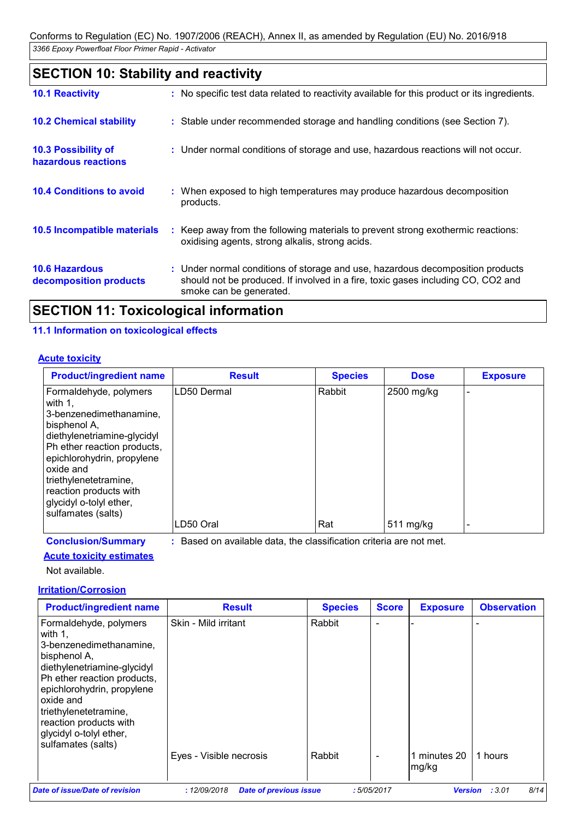### **SECTION 10: Stability and reactivity**

| <b>10.1 Reactivity</b>                            | : No specific test data related to reactivity available for this product or its ingredients.                                                                                                  |
|---------------------------------------------------|-----------------------------------------------------------------------------------------------------------------------------------------------------------------------------------------------|
| <b>10.2 Chemical stability</b>                    | : Stable under recommended storage and handling conditions (see Section 7).                                                                                                                   |
| <b>10.3 Possibility of</b><br>hazardous reactions | : Under normal conditions of storage and use, hazardous reactions will not occur.                                                                                                             |
| <b>10.4 Conditions to avoid</b>                   | : When exposed to high temperatures may produce hazardous decomposition<br>products.                                                                                                          |
| <b>10.5 Incompatible materials</b>                | : Keep away from the following materials to prevent strong exothermic reactions:<br>oxidising agents, strong alkalis, strong acids.                                                           |
| <b>10.6 Hazardous</b><br>decomposition products   | : Under normal conditions of storage and use, hazardous decomposition products<br>should not be produced. If involved in a fire, toxic gases including CO, CO2 and<br>smoke can be generated. |
|                                                   |                                                                                                                                                                                               |

### **SECTION 11: Toxicological information**

### **11.1 Information on toxicological effects**

#### **Acute toxicity**

| <b>Product/ingredient name</b>                                                                                                                                                                                                                                                            | <b>Result</b> | <b>Species</b> | <b>Dose</b> | <b>Exposure</b> |
|-------------------------------------------------------------------------------------------------------------------------------------------------------------------------------------------------------------------------------------------------------------------------------------------|---------------|----------------|-------------|-----------------|
| Formaldehyde, polymers<br>with 1.<br>3-benzenedimethanamine,<br>bisphenol A,<br>diethylenetriamine-glycidyl<br>Ph ether reaction products,<br>epichlorohydrin, propylene<br>oxide and<br>triethylenetetramine,<br>reaction products with<br>glycidyl o-tolyl ether,<br>sulfamates (salts) | LD50 Dermal   | Rabbit         | 2500 mg/kg  |                 |
|                                                                                                                                                                                                                                                                                           | LD50 Oral     | Rat            | 511 mg/kg   |                 |

**Conclusion/Summary :** Based on available data, the classification criteria are not met.

#### **Acute toxicity estimates**

Not available.

#### **Irritation/Corrosion**

| <b>Product/ingredient name</b>                                                                                                                                                                                                                                                               | <b>Result</b>                                   | <b>Species</b>   | <b>Score</b> | <b>Exposure</b>     | <b>Observation</b> |
|----------------------------------------------------------------------------------------------------------------------------------------------------------------------------------------------------------------------------------------------------------------------------------------------|-------------------------------------------------|------------------|--------------|---------------------|--------------------|
| Formaldehyde, polymers<br>with $1$ ,<br>3-benzenedimethanamine,<br>bisphenol A,<br>diethylenetriamine-glycidyl<br>Ph ether reaction products,<br>epichlorohydrin, propylene<br>oxide and<br>triethylenetetramine,<br>reaction products with<br>glycidyl o-tolyl ether,<br>sulfamates (salts) | Skin - Mild irritant<br>Eyes - Visible necrosis | Rabbit<br>Rabbit |              | minutes 20<br>mg/kg | 1 hours            |
| Date of issue/Date of revision                                                                                                                                                                                                                                                               | <b>Date of previous issue</b><br>: 12/09/2018   |                  | :5/05/2017   | <b>Version</b>      | 8/14<br>: 3.01     |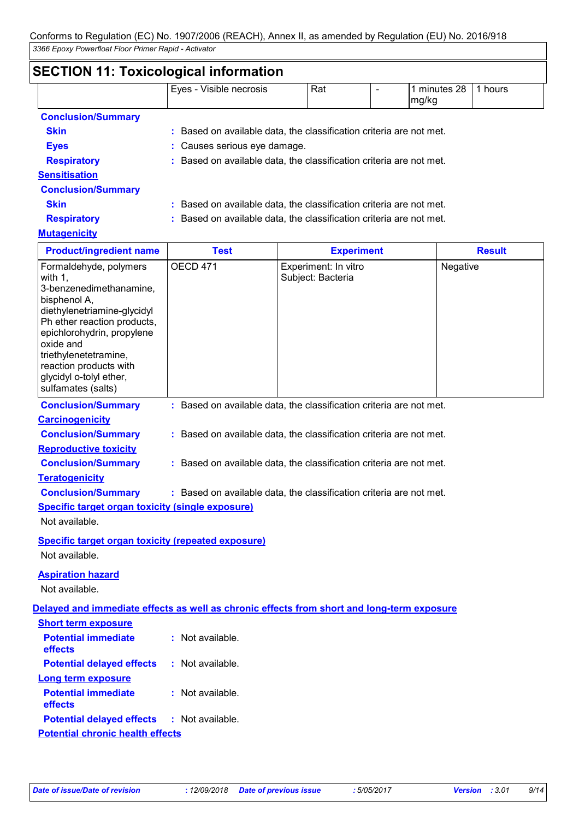### **SECTION 11: Toxicological information**

|                           | Eyes - Visible necrosis                                           | Rat |  | 1 minutes 28<br>mg/kg | hours |  |
|---------------------------|-------------------------------------------------------------------|-----|--|-----------------------|-------|--|
| <b>Conclusion/Summary</b> |                                                                   |     |  |                       |       |  |
| <b>Skin</b>               | Based on available data, the classification criteria are not met. |     |  |                       |       |  |

**Eyes :** Causes serious eye damage.

**Respiratory :** Based on available data, the classification criteria are not met.

### **Sensitisation**

**Conclusion/Summary**

**Skin :** Based on available data, the classification criteria are not met. **Respiratory :** Based on available data, the classification criteria are not met.

### **Mutagenicity**

| <b>Product/ingredient name</b>                                                                                                                                                                                                                                                            | <b>Test</b>                                                         | <b>Experiment</b>                                                                          | <b>Result</b> |  |  |
|-------------------------------------------------------------------------------------------------------------------------------------------------------------------------------------------------------------------------------------------------------------------------------------------|---------------------------------------------------------------------|--------------------------------------------------------------------------------------------|---------------|--|--|
| Formaldehyde, polymers<br>with 1,<br>3-benzenedimethanamine,<br>bisphenol A,<br>diethylenetriamine-glycidyl<br>Ph ether reaction products,<br>epichlorohydrin, propylene<br>oxide and<br>triethylenetetramine,<br>reaction products with<br>glycidyl o-tolyl ether,<br>sulfamates (salts) | <b>OECD 471</b>                                                     | Experiment: In vitro<br>Subject: Bacteria                                                  | Negative      |  |  |
| <b>Conclusion/Summary</b>                                                                                                                                                                                                                                                                 |                                                                     | : Based on available data, the classification criteria are not met.                        |               |  |  |
| <b>Carcinogenicity</b>                                                                                                                                                                                                                                                                    |                                                                     |                                                                                            |               |  |  |
| <b>Conclusion/Summary</b>                                                                                                                                                                                                                                                                 |                                                                     | : Based on available data, the classification criteria are not met.                        |               |  |  |
| <b>Reproductive toxicity</b>                                                                                                                                                                                                                                                              |                                                                     |                                                                                            |               |  |  |
| <b>Conclusion/Summary</b>                                                                                                                                                                                                                                                                 | : Based on available data, the classification criteria are not met. |                                                                                            |               |  |  |
| <b>Teratogenicity</b>                                                                                                                                                                                                                                                                     |                                                                     |                                                                                            |               |  |  |
| <b>Conclusion/Summary</b>                                                                                                                                                                                                                                                                 |                                                                     | : Based on available data, the classification criteria are not met.                        |               |  |  |
| <b>Specific target organ toxicity (single exposure)</b>                                                                                                                                                                                                                                   |                                                                     |                                                                                            |               |  |  |
| Not available.                                                                                                                                                                                                                                                                            |                                                                     |                                                                                            |               |  |  |
| <b>Specific target organ toxicity (repeated exposure)</b>                                                                                                                                                                                                                                 |                                                                     |                                                                                            |               |  |  |
| Not available.                                                                                                                                                                                                                                                                            |                                                                     |                                                                                            |               |  |  |
| <b>Aspiration hazard</b>                                                                                                                                                                                                                                                                  |                                                                     |                                                                                            |               |  |  |
| Not available.                                                                                                                                                                                                                                                                            |                                                                     |                                                                                            |               |  |  |
|                                                                                                                                                                                                                                                                                           |                                                                     | Delayed and immediate effects as well as chronic effects from short and long-term exposure |               |  |  |
| <b>Short term exposure</b>                                                                                                                                                                                                                                                                |                                                                     |                                                                                            |               |  |  |
| <b>Potential immediate</b>                                                                                                                                                                                                                                                                | : Not available.                                                    |                                                                                            |               |  |  |
| effects                                                                                                                                                                                                                                                                                   |                                                                     |                                                                                            |               |  |  |
| <b>Potential delayed effects</b>                                                                                                                                                                                                                                                          | : Not available.                                                    |                                                                                            |               |  |  |
| <b>Long term exposure</b>                                                                                                                                                                                                                                                                 |                                                                     |                                                                                            |               |  |  |
| <b>Potential immediate</b><br>effects                                                                                                                                                                                                                                                     | $:$ Not available.                                                  |                                                                                            |               |  |  |
| <b>Potential delayed effects</b>                                                                                                                                                                                                                                                          | $:$ Not available.                                                  |                                                                                            |               |  |  |

**Potential chronic health effects**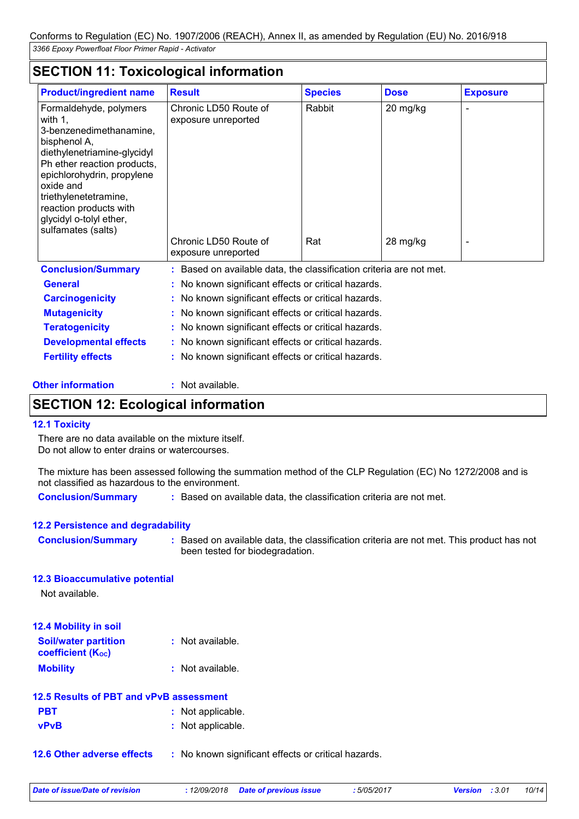### **SECTION 11: Toxicological information**

| <b>Product/ingredient name</b>                                                                                                                                                                                                                                                            | <b>Result</b>                                                       | <b>Species</b>     | <b>Dose</b> | <b>Exposure</b> |  |
|-------------------------------------------------------------------------------------------------------------------------------------------------------------------------------------------------------------------------------------------------------------------------------------------|---------------------------------------------------------------------|--------------------|-------------|-----------------|--|
| Formaldehyde, polymers<br>with 1,<br>3-benzenedimethanamine,<br>bisphenol A,<br>diethylenetriamine-glycidyl<br>Ph ether reaction products,<br>epichlorohydrin, propylene<br>oxide and<br>triethylenetetramine,<br>reaction products with<br>glycidyl o-tolyl ether,<br>sulfamates (salts) | Chronic LD50 Route of<br>exposure unreported                        | Rabbit<br>20 mg/kg |             |                 |  |
|                                                                                                                                                                                                                                                                                           | Chronic LD50 Route of<br>exposure unreported                        | Rat                | 28 mg/kg    |                 |  |
| <b>Conclusion/Summary</b>                                                                                                                                                                                                                                                                 | : Based on available data, the classification criteria are not met. |                    |             |                 |  |
| <b>General</b>                                                                                                                                                                                                                                                                            | : No known significant effects or critical hazards.                 |                    |             |                 |  |
| <b>Carcinogenicity</b>                                                                                                                                                                                                                                                                    | : No known significant effects or critical hazards.                 |                    |             |                 |  |
| <b>Mutagenicity</b>                                                                                                                                                                                                                                                                       | : No known significant effects or critical hazards.                 |                    |             |                 |  |
| <b>Teratogenicity</b>                                                                                                                                                                                                                                                                     | : No known significant effects or critical hazards.                 |                    |             |                 |  |

**Developmental effects** : No known significant effects or critical hazards.

**Fertility effects :** No known significant effects or critical hazards.

#### **Other information :** Not available.

### **SECTION 12: Ecological information**

#### **12.1 Toxicity**

There are no data available on the mixture itself. Do not allow to enter drains or watercourses.

The mixture has been assessed following the summation method of the CLP Regulation (EC) No 1272/2008 and is not classified as hazardous to the environment.

**Conclusion/Summary :** Based on available data, the classification criteria are not met.

#### **12.2 Persistence and degradability**

**Conclusion/Summary :** Based on available data, the classification criteria are not met. This product has not been tested for biodegradation.

#### **12.3 Bioaccumulative potential**

Not available.

| 12.4 Mobility in soil                                   |                  |
|---------------------------------------------------------|------------------|
| <b>Soil/water partition</b><br><b>coefficient (Koc)</b> | : Not available. |
|                                                         |                  |
| <b>Mobility</b>                                         | : Not available. |

| 12.5 Results of PBT and vPvB assessment |                   |  |  |
|-----------------------------------------|-------------------|--|--|
| <b>PBT</b>                              | : Not applicable. |  |  |
| <b>vPvB</b>                             | : Not applicable. |  |  |

**12.6 Other adverse effects** : No known significant effects or critical hazards.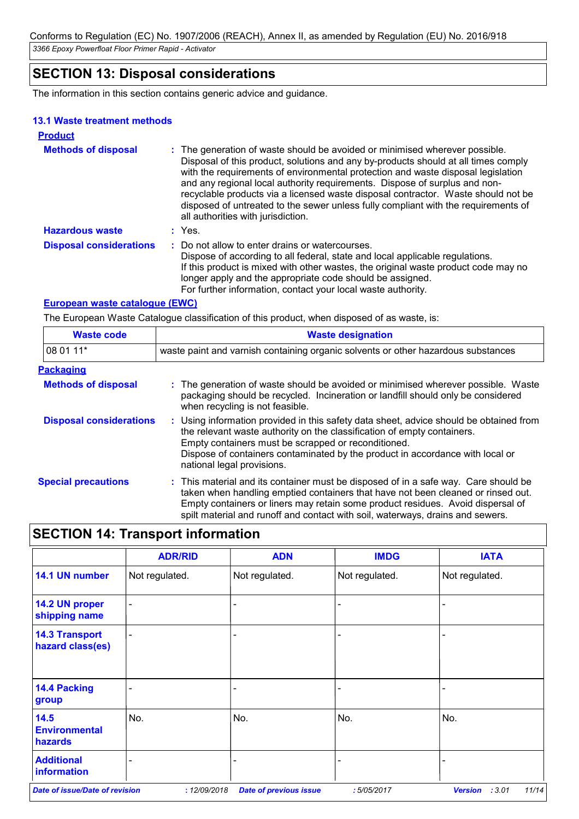### **SECTION 13: Disposal considerations**

The information in this section contains generic advice and guidance.

#### **13.1 Waste treatment methods**

| <b>Product</b>                 |                                                                                                                                                                                                                                                                                                                                                                                                                                                                                                                                                      |
|--------------------------------|------------------------------------------------------------------------------------------------------------------------------------------------------------------------------------------------------------------------------------------------------------------------------------------------------------------------------------------------------------------------------------------------------------------------------------------------------------------------------------------------------------------------------------------------------|
| <b>Methods of disposal</b>     | : The generation of waste should be avoided or minimised wherever possible.<br>Disposal of this product, solutions and any by-products should at all times comply<br>with the requirements of environmental protection and waste disposal legislation<br>and any regional local authority requirements. Dispose of surplus and non-<br>recyclable products via a licensed waste disposal contractor. Waste should not be<br>disposed of untreated to the sewer unless fully compliant with the requirements of<br>all authorities with jurisdiction. |
| <b>Hazardous waste</b>         | : Yes.                                                                                                                                                                                                                                                                                                                                                                                                                                                                                                                                               |
| <b>Disposal considerations</b> | : Do not allow to enter drains or watercourses.<br>Dispose of according to all federal, state and local applicable regulations.<br>If this product is mixed with other wastes, the original waste product code may no<br>longer apply and the appropriate code should be assigned.<br>For further information, contact your local waste authority.                                                                                                                                                                                                   |

#### **European waste catalogue (EWC)**

The European Waste Catalogue classification of this product, when disposed of as waste, is:

| <b>Waste code</b>              | <b>Waste designation</b><br>waste paint and varnish containing organic solvents or other hazardous substances                                                                                                                                                                                                                                |  |  |  |
|--------------------------------|----------------------------------------------------------------------------------------------------------------------------------------------------------------------------------------------------------------------------------------------------------------------------------------------------------------------------------------------|--|--|--|
| 08 01 11*                      |                                                                                                                                                                                                                                                                                                                                              |  |  |  |
| <b>Packaging</b>               |                                                                                                                                                                                                                                                                                                                                              |  |  |  |
| <b>Methods of disposal</b>     | : The generation of waste should be avoided or minimised wherever possible. Waste<br>packaging should be recycled. Incineration or landfill should only be considered<br>when recycling is not feasible.                                                                                                                                     |  |  |  |
| <b>Disposal considerations</b> | : Using information provided in this safety data sheet, advice should be obtained from<br>the relevant waste authority on the classification of empty containers.<br>Empty containers must be scrapped or reconditioned.<br>Dispose of containers contaminated by the product in accordance with local or<br>national legal provisions.      |  |  |  |
| <b>Special precautions</b>     | : This material and its container must be disposed of in a safe way. Care should be<br>taken when handling emptied containers that have not been cleaned or rinsed out.<br>Empty containers or liners may retain some product residues. Avoid dispersal of<br>spilt material and runoff and contact with soil, waterways, drains and sewers. |  |  |  |

### **SECTION 14: Transport information**

|                                                      | <b>ADR/RID</b> | <b>ADN</b>                    | <b>IMDG</b>    | <b>IATA</b>              |
|------------------------------------------------------|----------------|-------------------------------|----------------|--------------------------|
| 14.1 UN number                                       | Not regulated. | Not regulated.                | Not regulated. | Not regulated.           |
| 14.2 UN proper<br>shipping name                      | -              |                               |                |                          |
| <b>14.3 Transport</b><br>hazard class(es)            | -              |                               |                |                          |
| 14.4 Packing<br>group                                |                |                               |                |                          |
| 14.5<br><b>Environmental</b><br>hazards              | No.            | No.                           | No.            | No.                      |
| <b>Additional</b>                                    |                | ۰                             |                |                          |
| information<br><b>Date of issue/Date of revision</b> | : 12/09/2018   | <b>Date of previous issue</b> | :5/05/2017     | <b>Version</b><br>: 3.01 |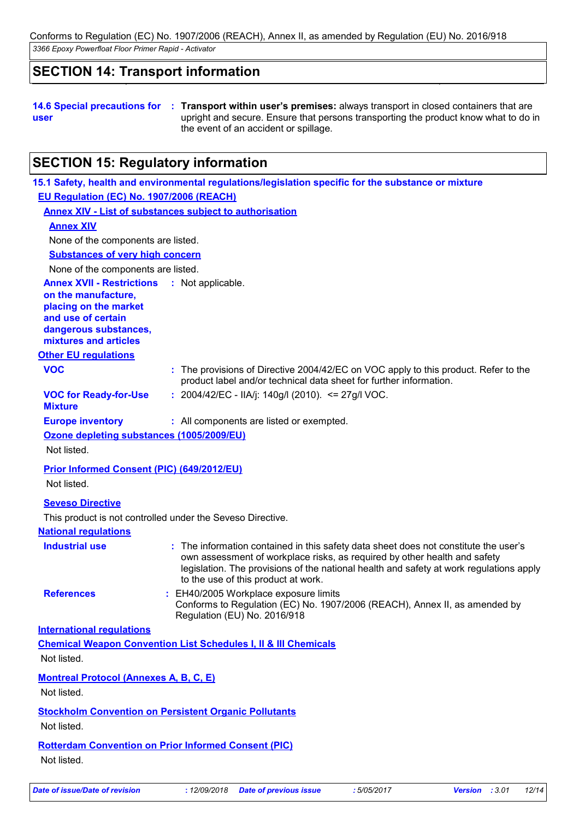*3366 Epoxy Powerfloat Floor Primer Rapid - Activator* Conforms to Regulation (EC) No. 1907/2006 (REACH), Annex II, as amended by Regulation (EU) No. 2016/918

### **SECTION 14: Transport information**

**14.6 Special precautions for : Transport within user's premises:** always transport in closed containers that are **user** upright and secure. Ensure that persons transporting the product know what to do in the event of an accident or spillage.

### **SECTION 15: Regulatory information**

| EU Regulation (EC) No. 1907/2006 (REACH)                                                                                                                 | 15.1 Safety, health and environmental regulations/legislation specific for the substance or mixture                                                                                                                                                                                                 |
|----------------------------------------------------------------------------------------------------------------------------------------------------------|-----------------------------------------------------------------------------------------------------------------------------------------------------------------------------------------------------------------------------------------------------------------------------------------------------|
|                                                                                                                                                          | <b>Annex XIV - List of substances subject to authorisation</b>                                                                                                                                                                                                                                      |
| <b>Annex XIV</b>                                                                                                                                         |                                                                                                                                                                                                                                                                                                     |
| None of the components are listed.                                                                                                                       |                                                                                                                                                                                                                                                                                                     |
| <b>Substances of very high concern</b>                                                                                                                   |                                                                                                                                                                                                                                                                                                     |
| None of the components are listed.                                                                                                                       |                                                                                                                                                                                                                                                                                                     |
| <b>Annex XVII - Restrictions</b><br>on the manufacture,<br>placing on the market<br>and use of certain<br>dangerous substances,<br>mixtures and articles | : Not applicable.                                                                                                                                                                                                                                                                                   |
| <b>Other EU regulations</b>                                                                                                                              |                                                                                                                                                                                                                                                                                                     |
| <b>VOC</b>                                                                                                                                               | : The provisions of Directive 2004/42/EC on VOC apply to this product. Refer to the<br>product label and/or technical data sheet for further information.                                                                                                                                           |
| <b>VOC for Ready-for-Use</b><br><b>Mixture</b>                                                                                                           | : 2004/42/EC - IIA/j: 140g/l (2010). <= 27g/l VOC.                                                                                                                                                                                                                                                  |
| <b>Europe inventory</b>                                                                                                                                  | : All components are listed or exempted.                                                                                                                                                                                                                                                            |
| Ozone depleting substances (1005/2009/EU)                                                                                                                |                                                                                                                                                                                                                                                                                                     |
| Not listed.                                                                                                                                              |                                                                                                                                                                                                                                                                                                     |
| <b>Prior Informed Consent (PIC) (649/2012/EU)</b>                                                                                                        |                                                                                                                                                                                                                                                                                                     |
| Not listed.                                                                                                                                              |                                                                                                                                                                                                                                                                                                     |
| <b>Seveso Directive</b>                                                                                                                                  |                                                                                                                                                                                                                                                                                                     |
|                                                                                                                                                          | This product is not controlled under the Seveso Directive.                                                                                                                                                                                                                                          |
| <b>National regulations</b>                                                                                                                              |                                                                                                                                                                                                                                                                                                     |
| <b>Industrial use</b>                                                                                                                                    | : The information contained in this safety data sheet does not constitute the user's<br>own assessment of workplace risks, as required by other health and safety<br>legislation. The provisions of the national health and safety at work regulations apply<br>to the use of this product at work. |
| <b>References</b>                                                                                                                                        | : EH40/2005 Workplace exposure limits<br>Conforms to Regulation (EC) No. 1907/2006 (REACH), Annex II, as amended by<br>Regulation (EU) No. 2016/918                                                                                                                                                 |
| <b>International requlations</b>                                                                                                                         |                                                                                                                                                                                                                                                                                                     |
| Not listed.                                                                                                                                              | <b>Chemical Weapon Convention List Schedules I, II &amp; III Chemicals</b>                                                                                                                                                                                                                          |
| <b>Montreal Protocol (Annexes A, B, C, E)</b><br>Not listed.                                                                                             |                                                                                                                                                                                                                                                                                                     |
|                                                                                                                                                          | <b>Stockholm Convention on Persistent Organic Pollutants</b>                                                                                                                                                                                                                                        |
| Not listed.                                                                                                                                              |                                                                                                                                                                                                                                                                                                     |
|                                                                                                                                                          | <b>Rotterdam Convention on Prior Informed Consent (PIC)</b>                                                                                                                                                                                                                                         |
| Not listed.                                                                                                                                              |                                                                                                                                                                                                                                                                                                     |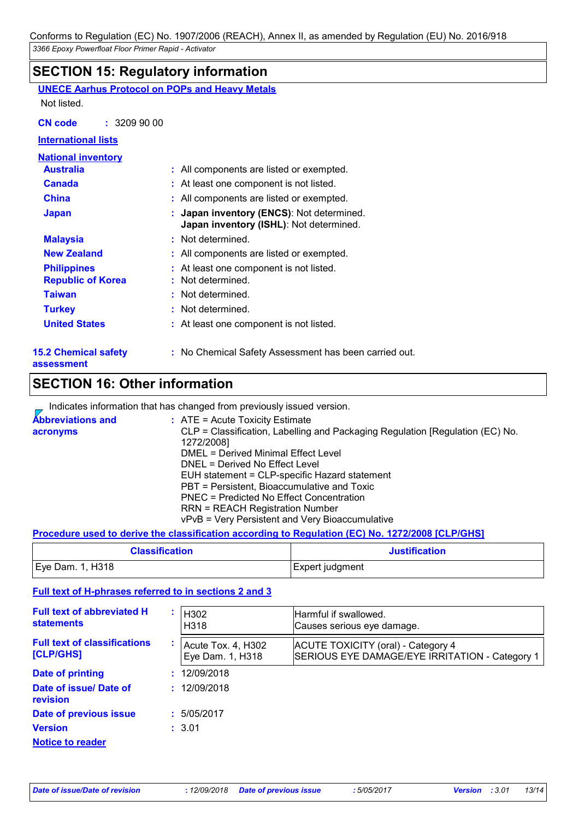### **SECTION 15: Regulatory information**

| .                                                     |                                                                                    |
|-------------------------------------------------------|------------------------------------------------------------------------------------|
| <b>UNECE Aarhus Protocol on POPs and Heavy Metals</b> |                                                                                    |
| Not listed.                                           |                                                                                    |
| <b>CN code</b><br>: 32099000                          |                                                                                    |
| <b>International lists</b>                            |                                                                                    |
| <b>National inventory</b>                             |                                                                                    |
| <b>Australia</b>                                      | : All components are listed or exempted.                                           |
| <b>Canada</b>                                         | : At least one component is not listed.                                            |
| <b>China</b>                                          | : All components are listed or exempted.                                           |
| <b>Japan</b>                                          | Japan inventory (ENCS): Not determined.<br>Japan inventory (ISHL): Not determined. |
| <b>Malaysia</b>                                       | : Not determined.                                                                  |
| <b>New Zealand</b>                                    | : All components are listed or exempted.                                           |
| <b>Philippines</b><br><b>Republic of Korea</b>        | : At least one component is not listed.<br>Not determined.                         |
| <b>Taiwan</b>                                         | : Not determined.                                                                  |
| <b>Turkey</b>                                         | : Not determined.                                                                  |
| <b>United States</b>                                  | : At least one component is not listed.                                            |
| <b>15.2 Chemical safety</b><br>assessment             | : No Chemical Safety Assessment has been carried out.                              |
| <b>SECTION 16: Other information</b>                  |                                                                                    |

|                                      | Indicates information that has changed from previously issued version.                                                                                                                                                                                                                                                                                                                                                                           |
|--------------------------------------|--------------------------------------------------------------------------------------------------------------------------------------------------------------------------------------------------------------------------------------------------------------------------------------------------------------------------------------------------------------------------------------------------------------------------------------------------|
| <b>Abbreviations and</b><br>acronyms | : ATE = Acute Toxicity Estimate<br>CLP = Classification, Labelling and Packaging Regulation [Regulation (EC) No.<br>1272/2008]<br>DMEL = Derived Minimal Effect Level<br>DNEL = Derived No Effect Level<br>EUH statement = CLP-specific Hazard statement<br>PBT = Persistent, Bioaccumulative and Toxic<br>PNEC = Predicted No Effect Concentration<br><b>RRN = REACH Registration Number</b><br>vPvB = Very Persistent and Very Bioaccumulative |
|                                      |                                                                                                                                                                                                                                                                                                                                                                                                                                                  |

#### **Procedure used to derive the classification according to Regulation (EC) No. 1272/2008 [CLP/GHS]**

| <b>Classification</b> | <b>Justification</b> |  |
|-----------------------|----------------------|--|
| Eye Dam. 1, H318      | Expert judgment      |  |

### **Full text of H-phrases referred to in sections 2 and 3**

| <b>Full text of abbreviated H</b><br><b>statements</b> | H302<br>H318                           | Harmful if swallowed.<br>Causes serious eye damage.                                  |
|--------------------------------------------------------|----------------------------------------|--------------------------------------------------------------------------------------|
| <b>Full text of classifications</b><br>[CLP/GHS]       | Acute Tox. 4, H302<br>Eye Dam. 1, H318 | ACUTE TOXICITY (oral) - Category 4<br>SERIOUS EYE DAMAGE/EYE IRRITATION - Category 1 |
| Date of printing                                       | 12/09/2018                             |                                                                                      |
| Date of issue/ Date of<br>revision                     | 12/09/2018                             |                                                                                      |
| Date of previous issue                                 | 5/05/2017                              |                                                                                      |
| <b>Version</b>                                         | : 3.01                                 |                                                                                      |
| <b>Notice to reader</b>                                |                                        |                                                                                      |